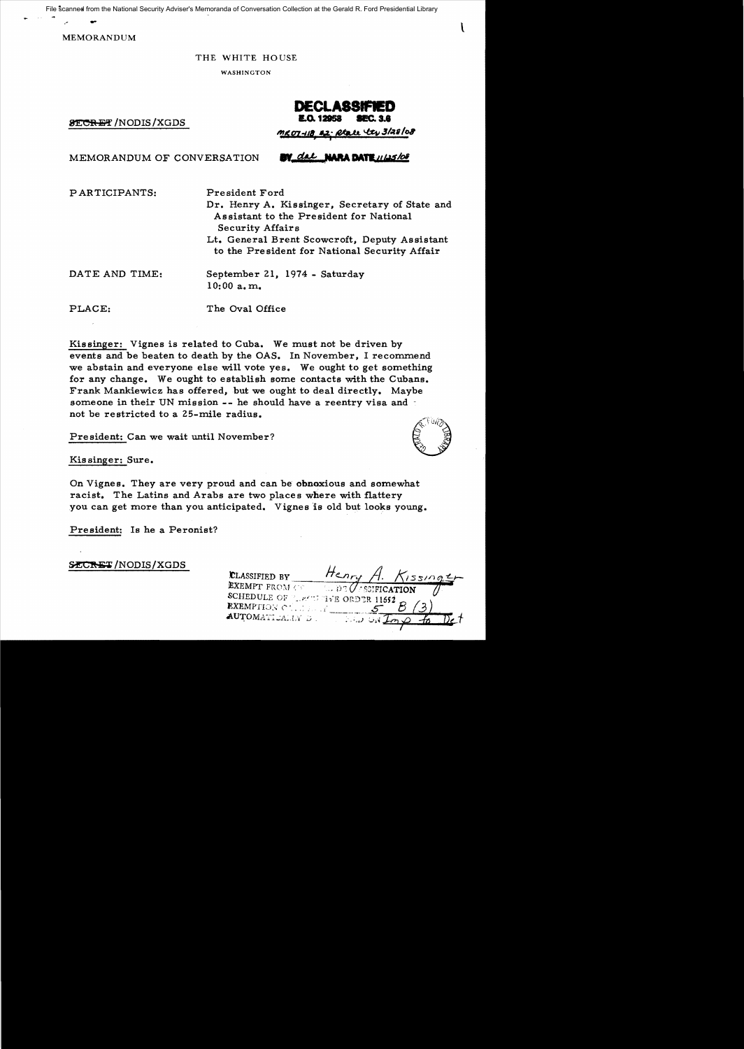. - <sup>t</sup> File scanned from the National Security Adviser's Memoranda of Conversation Collection at the Gerald R. Ford Presidential Library

MEMORANDUM

#### THE WHITE HOUSE

WASHINGTON

**8ECRET** /NODIS/XGDS

# **DECLA88IFIED**

MEMORANDUM OF CONVERSATION

PARTICIPANTS: President Ford

Dr. Henry A. Kissinger, Secretary of State and Assistant to the President for National Security Affairs Lt. General Brent Scowcroft, Deputy Assistant

to the President for National Security Affair

DATE AND TIME: 10:00 a. m.. September 21, 1974 - Saturday

PLACE: The Oval Office

Kissinger: Vignes is related to Cuba. We must not be driven by events and be beaten to death by the OAS. In November, I recommend we abstain and everyone else will vote yes. We ought to get something for any change. We ought to establish some contacts with the Cubans. Frank Mankiewicz has offered, but we ought to deal directly. Maybe someone in their UN mission -- he should have a reentry visa and not be restricted to a 25-mile radius. Ficted to a 25-mile radius.<br>Can we wait until November?<br>Sure.

President: Can we wait until November?

Kis singer: Sure.

On Vignes. They are very proud and can be obnoxious and somewhat racist. The Latins and Arabs are two places where with flattery you can get more than you anticipated. Vignes is old but looks young.

President: Is he a Peronist?

**SECRET/NODIS/XGDS** 

Henry / CLASSIFIED BY **EXEMPT FROM CO** SCHEDULE OF THE TIVE ORDER 11652 EXEMPTION CLUBER AUTOMATICALLY D.



~'PZ:(It\ **Mi fM!&+** ~/:t6Ioa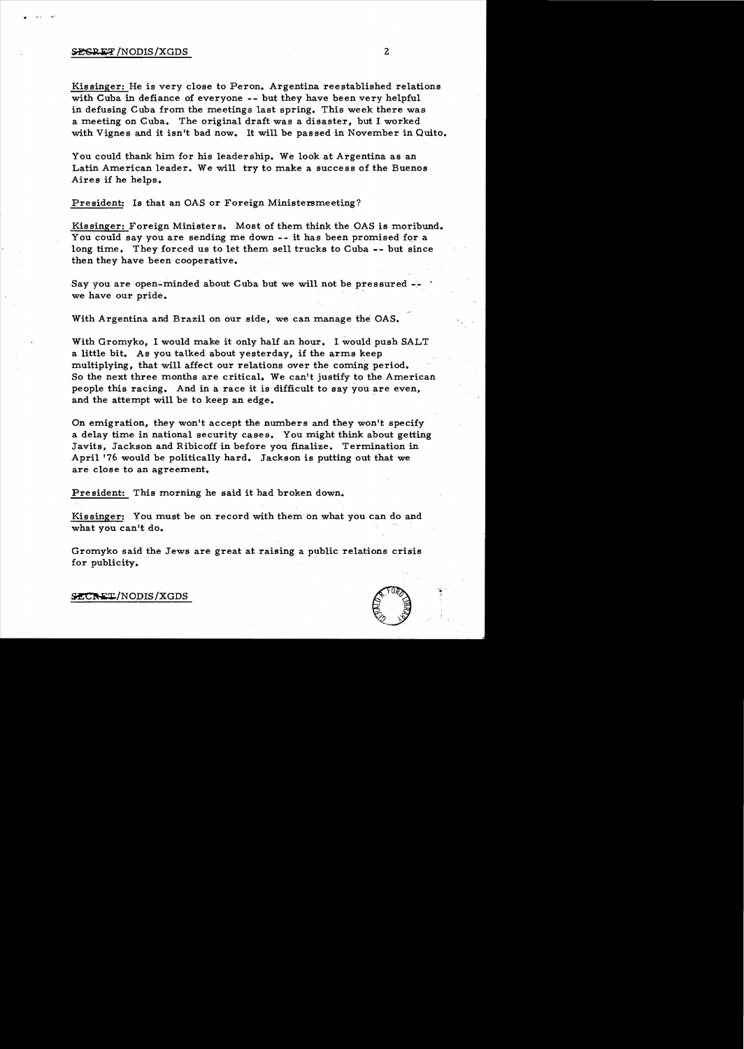### **SEGRET**/NODIS/XGDS 2

,. .... ....,

Kissinger: He is very close to Peron. Argentina reestablished relations with Cuba in defiance of everyone -- but they have been very helpful in defusing Cuba from the meetings last spring. This week there was a meeting on Cuba. The original draft was a disaster, but I worked with Vignes and it isn't bad now. It will be passed in November in Quito.

You could thank him for his leadership. We look at Argentina as an Latin American leader. We will try to make a success of the Buenos Aires if he helps.

President: Is that an OAS or Foreign Ministersmeeting?

Kissinger: Foreign Ministers. Most of them think the OAS is moribund. You could say you are sending me down -- it has been promised for a long time. They forced us to let them sell trucks to Cuba -- but since then they have been cooperative.

Say you are open-minded about Cuba but we will not be pressured  $-\frac{1}{2}$ we have our pride.

With Argentina and Brazil on our side, we can manage the OAS.

With Gromyko, I would make it only half an hour. I would push SALT a little bit. As you talked about yesterday, if the arms keep multiplying, that will affect our relations over the coming period. So the next three months are critical. We can't justify to the American people this racing. And in a race it is difficult to say you are even, and the attempt will be to keep an edge.

On emigration, they won't accept the numbers and they won't specify a delay time in national security cases. You might think about getting Javits, Jackson and Ribicoff in before you finalize. Termination in April '76 would be politically hard. Jackson is putting out that we are close to an agreement.

Pre sident: This morning he said it had broken down.

Kissinger: You must be on record with them on what you can do and what you can't do.

Gromyko said the Jews are great at raising a public relations crisis for publicity.



,

 $>{\tt SCRET/NODIS/XGDS}$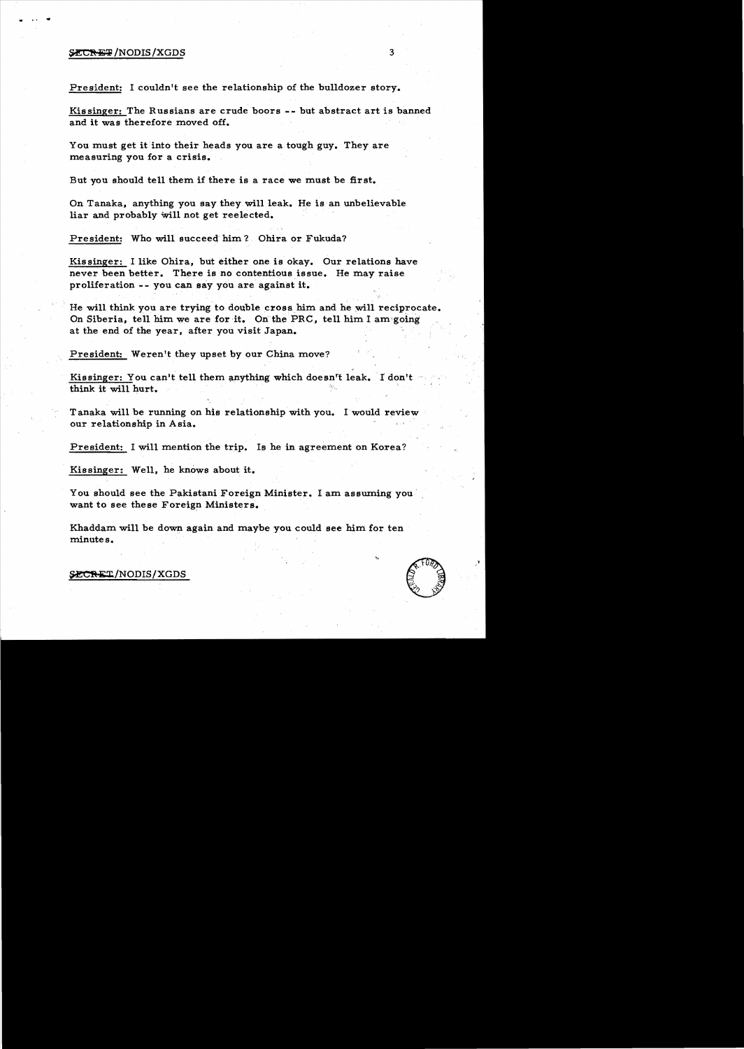### SECRET/NODIS/XGDS

## President: I couldn't see the relationship of the bulldozer story.

Kissinger: The Russians are crude boors -- but abstract art is banned and it was therefore moved off.

You must get it into their heads you are a tough guy. They are measuring you for a crisis.

But you should tell them if there is a race we must be first.

On Tanaka, anything you say they will leak. He is an unbelievable liar and probably Will not get reelected.

President: Who will succeed him? Ohira or Fukuda?

Kissinger: I like Ohira, but either one is okay. Our relations have never been better. There is no contentious issue. He may raise proliferation -- you can say you are against it.

He will think you are trying to double cross him and he will reciprocate. On Siberia, tell him we are for it. On the PRC, tell him I am going at the end of the year, after you visit Japan.

President: Weren't they upset by our China move?

Kissinger: You can't tell them anything which doesn't leak. I don't think it will hurt.

Tanaka will be running on his relationship with you. I would review our relationship in Asia.

President: I will mention the trip. Is he in agreement on Korea?

Kissinger: Well, he knows about it.

You should see the Pakistani Foreign Minister. I am assuming you want to see these Foreign Ministers.

Khaddam will be down again and maybe you could see him for ten minutes.

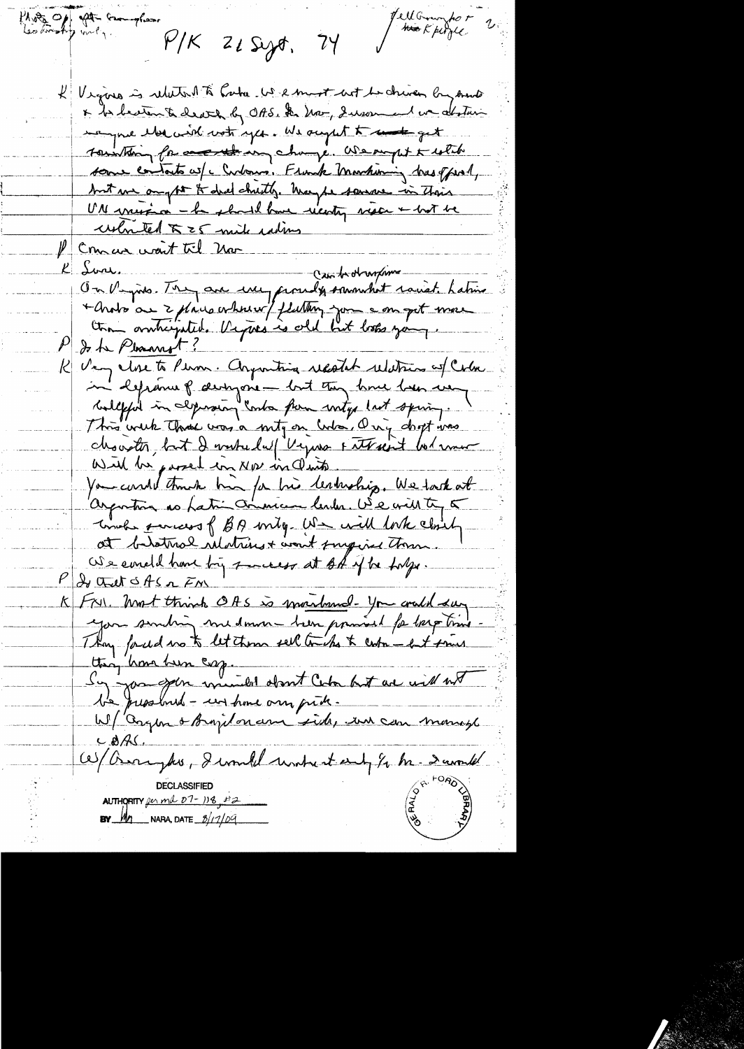Photo Of the Complete PIK Hell Grandor<br>Hook perfec 21 Seyot, 74 Vigors is related to have been most but be chiven by mont x to becter to death by OAS. In Nov, Suson and we abstain tempre elección votrages. We acquit to under get Township for an thing change. We suppt to which some contacts w/c Curbonno. Flunck Markining bus offered, but we anythe it did chutty. Way be sauce in their UN viert à la should have vienty vien & hot be ushmed  $\pi$  = 5 mile rating Concar want til Nor Lori. Sure. Cantroburgion de la facilitat de la facilitat de la fine + Arobo au 2 philosopheur/ fluttery you a on get more do the Pleasant? Very close to Person. Argumting record relations of Color in deprenne p arrigone - but tuy home ben ver This week that was a mity on who, Ony doopt was chouster, but I washed w/ Vyuso Futrait bolance You could think him for his lestuship. We task at argorton as Latin commun lender. We will to 5 Times parcess of BA unty US will look closely at bathol relatives + won't suggered theme We conclude have by some est of if he hope. I that of the FM Fry, Most think OAS is montand- you could say ttag home been cop.<br>Sy you goin winder dont Color but are will not  $CBAC$ W/ Arrayhos, I would untestant for he- Danvelet **DECLASSIFIED** AUTHORITY for ma  $D7-118$ ,  $H2$ **BY**  $M_1$  NARA, DATE  $\frac{3}{100}$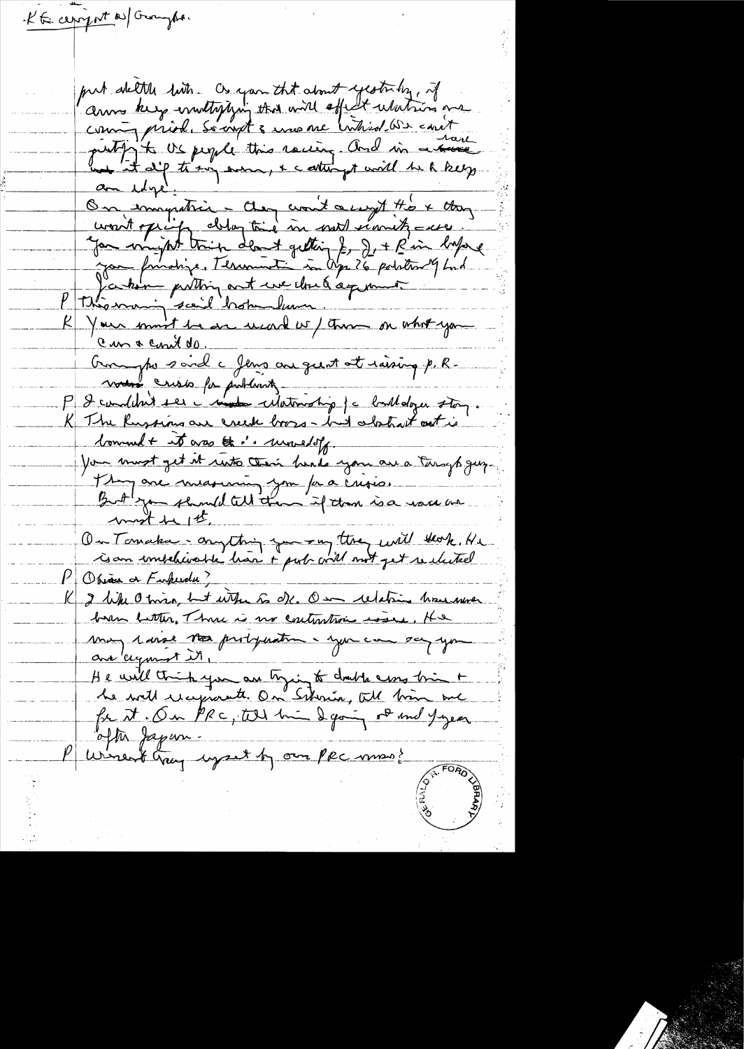KE cerry nt as Groungho. put dette bits Os you that about yesterday, if coming prior society and and open wanted on and Jan formatique, Terrament in Apr 26 pointer 9 km P théasant putting ant use cloud against ...<br>P théasant seoil both lum.<br>R Your sant se are used w/ that on whot you Cur a cont de.<br>Ouvertre said à Jeux au gust et raising p.R. ment crisis pa problements P & conditant ser i mada cilatination je balldozer story.<br>K The Russians are creek booss- had abstract out is comment it was the i. unneloff. You must get it ruto their hands you are a turgh guy. They are measuring you for a crisis. On Tomaka - anything you - my they will that He  $P$  Obiase a Furkeedy? I like O time, but with so dk. On relation how were may 1 avril <del>120</del> probyvation. you can say you are agonest it, He will think you are trying to double come bring to<br>the will receptionate. On Schrien, We bring me often Japan. Puriment cray upset by our PRC mms ?